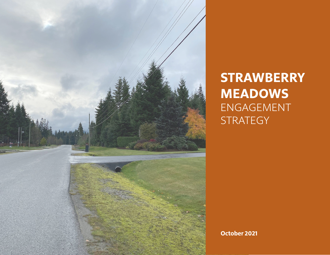

# **STRAWBERRY MEADOWS** ENGAGEMENT **STRATEGY**

**October 2021**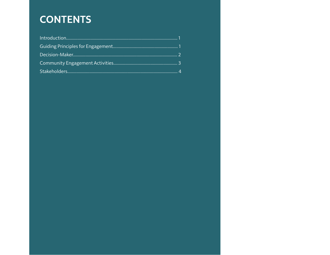## **CONTENTS**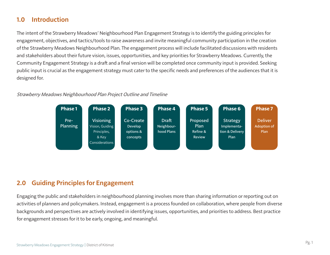#### **1.0 Introduction**

The intent of the Strawberry Meadows' Neighbourhood Plan Engagement Strategy is to identify the guiding principles for engagement, objectives, and tactics/tools to raise awareness and invite meaningful community participation in the creation of the Strawberry Meadows Neighbourhood Plan. The engagement process will include facilitated discussions with residents and stakeholders about their future vision, issues, opportunities, and key priorities for Strawberry Meadows. Currently, the Community Engagement Strategy is a draft and a final version will be completed once community input is provided. Seeking public input is crucial as the engagement strategy must cater to the specific needs and preferences of the audiences that it is designed for.

#### Strawberry Meadows Neighbourhood Plan Project Outline and Timeline



#### **2.0 Guiding Principles for Engagement**

Engaging the public and stakeholders in neighbourhood planning involves more than sharing information or reporting out on activities of planners and policymakers. Instead, engagement is a process founded on collaboration, where people from diverse backgrounds and perspectives are actively involved in identifying issues, opportunities, and priorities to address. Best practice for engagement stresses for it to be early, ongoing, and meaningful.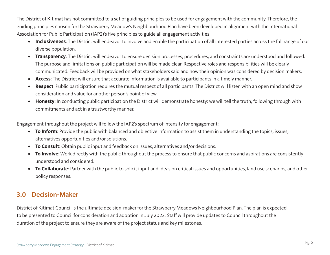The District of Kitimat has not committed to a set of guiding principles to be used for engagement with the community. Therefore, the guiding principles chosen for the Strawberry Meadow's Neighbourhood Plan have been developed in alignment with the International Association for Public Participation (IAP2)'s five principles to guide all engagement activities:

- **• Inclusiveness**: The District will endeavor to involve and enable the participation of all interested parties across the full range of our diverse population.
- **• Transparency**: The District will endeavor to ensure decision processes, procedures, and constraints are understood and followed. The purpose and limitations on public participation will be made clear. Respective roles and responsibilities will be clearly communicated. Feedback will be provided on what stakeholders said and how their opinion was considered by decision makers.
- **• Access**: The District will ensure that accurate information is available to participants in a timely manner.
- **• Respect**: Public participation requires the mutual respect of all participants. The District will listen with an open mind and show consideration and value for another person's point of view.
- **• Honesty**: In conducting public participation the District will demonstrate honesty: we will tell the truth, following through with commitments and act in a trustworthy manner.

Engagement throughout the project will follow the IAP2's spectrum of intensity for engagement:

- **• To Inform**: Provide the public with balanced and objective information to assist them in understanding the topics, issues, alternatives opportunities and/or solutions.
- **• To Consult**: Obtain public input and feedback on issues, alternatives and/or decisions.
- **• To Involve**: Work directly with the public throughout the process to ensure that public concerns and aspirations are consistently understood and considered.
- **• To Collaborate**: Partner with the public to solicit input and ideas on critical issues and opportunities, land use scenarios, and other policy responses.

#### **3.0 Decision-Maker**

District of Kitimat Council is the ultimate decision-maker for the Strawberry Meadows Neighbourhood Plan. The plan is expected to be presented to Council for consideration and adoption in July 2022. Staff will provide updates to Council throughout the duration of the project to ensure they are aware of the project status and key milestones.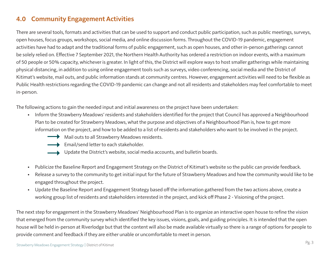#### **4.0 Community Engagement Activities**

There are several tools, formats and activities that can be used to support and conduct public participation, such as public meetings, surveys, open houses, focus groups, workshops, social media, and online discussion forms. Throughout the COVID-19 pandemic, engagement activities have had to adapt and the traditional forms of public engagement, such as open houses, and other in-person gatherings cannot be solely relied on. Effective 7 September 2021, the Northern Health Authority has ordered a restriction on indoor events, with a maximum of 50 people or 50% capacity, whichever is greater. In light of this, the District will explore ways to host smaller gatherings while maintaining physical distancing, in addition to using online engagement tools such as surveys, video conferencing, social media and the District of Kitimat's website, mail outs, and public information stands at community centres. However, engagement activities will need to be flexible as Public Health restrictions regarding the COVID-19 pandemic can change and not all residents and stakeholders may feel comfortable to meet in-person.

The following actions to gain the needed input and initial awareness on the project have been undertaken:

- Inform the Strawberry Meadows' residents and stakeholders identified for the project that Council has approved a Neighbourhood Plan to be created for Strawberry Meadows, what the purpose and objectives of a Neighbourhood Plan is, how to get more information on the project, and how to be added to a list of residents and stakeholders who want to be involved in the project.
	- Mail outs to all Strawberry Meadows residents.



- Email/send letter to each stakeholder.
- Update the District's website, social media accounts, and bulletin boards.
- Publicize the Baseline Report and Engagement Strategy on the District of Kitimat's website so the public can provide feedback.
- Release a survey to the community to get initial input for the future of Strawberry Meadows and how the community would like to be engaged throughout the project.
- Update the Baseline Report and Engagement Strategy based off the information gathered from the two actions above, create a working group list of residents and stakeholders interested in the project, and kick off Phase 2 - Visioning of the project.

The next step for engagement in the Strawberry Meadows' Neighbourhood Plan is to organize an interactive open house to refine the vision that emerged from the community survey which identified the key issues, visions, goals, and guiding principles. It is intended that the open house will be held in-person at Riverlodge but that the content will also be made available virtually so there is a range of options for people to provide comment and feedback if they are either unable or uncomfortable to meet in person.